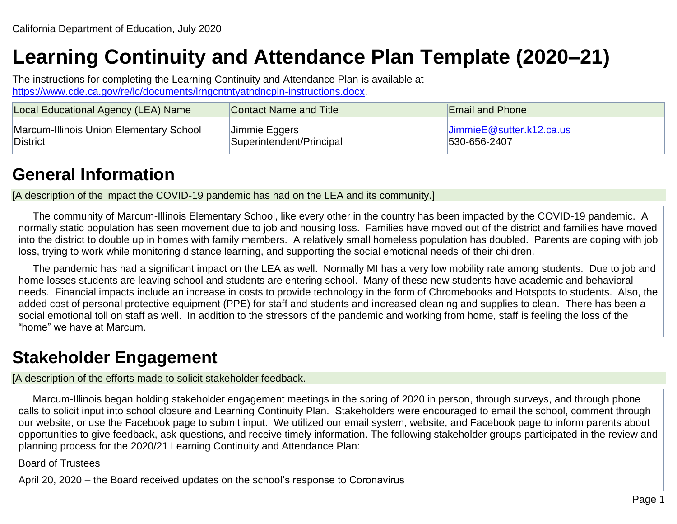# **Learning Continuity and Attendance Plan Template (2020–21)**

The instructions for completing the Learning Continuity and Attendance Plan is available at [https://www.cde.ca.gov/re/lc/documents/lrngcntntyatndncpln-instructions.docx.](https://www.cde.ca.gov/re/lc/documents/lrngcntntyatndncpln-instructions.docx)

| Local Educational Agency (LEA) Name     | Contact Name and Title   | <b>Email and Phone</b>          |
|-----------------------------------------|--------------------------|---------------------------------|
| Marcum-Illinois Union Elementary School | Jimmie Eggers            | $J$ immie $E@$ sutter.k12.ca.us |
| District                                | Superintendent/Principal | 530-656-2407                    |

# **General Information**

[A description of the impact the COVID-19 pandemic has had on the LEA and its community.]

 The community of Marcum-Illinois Elementary School, like every other in the country has been impacted by the COVID-19 pandemic. A normally static population has seen movement due to job and housing loss. Families have moved out of the district and families have moved into the district to double up in homes with family members. A relatively small homeless population has doubled. Parents are coping with job loss, trying to work while monitoring distance learning, and supporting the social emotional needs of their children.

 The pandemic has had a significant impact on the LEA as well. Normally MI has a very low mobility rate among students. Due to job and home losses students are leaving school and students are entering school. Many of these new students have academic and behavioral needs. Financial impacts include an increase in costs to provide technology in the form of Chromebooks and Hotspots to students. Also, the added cost of personal protective equipment (PPE) for staff and students and increased cleaning and supplies to clean. There has been a social emotional toll on staff as well. In addition to the stressors of the pandemic and working from home, staff is feeling the loss of the "home" we have at Marcum.

## **Stakeholder Engagement**

[A description of the efforts made to solicit stakeholder feedback.

 Marcum-Illinois began holding stakeholder engagement meetings in the spring of 2020 in person, through surveys, and through phone calls to solicit input into school closure and Learning Continuity Plan. Stakeholders were encouraged to email the school, comment through our website, or use the Facebook page to submit input. We utilized our email system, website, and Facebook page to inform parents about opportunities to give feedback, ask questions, and receive timely information. The following stakeholder groups participated in the review and planning process for the 2020/21 Learning Continuity and Attendance Plan:

#### Board of Trustees

April 20, 2020 – the Board received updates on the school's response to Coronavirus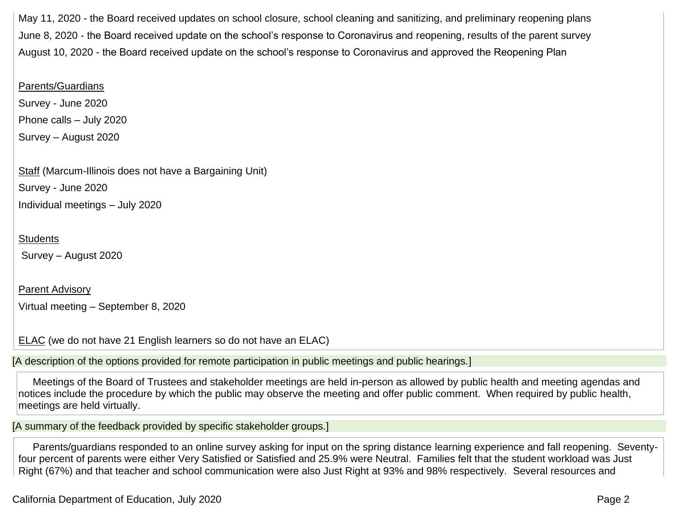May 11, 2020 - the Board received updates on school closure, school cleaning and sanitizing, and preliminary reopening plans June 8, 2020 - the Board received update on the school's response to Coronavirus and reopening, results of the parent survey August 10, 2020 - the Board received update on the school's response to Coronavirus and approved the Reopening Plan

#### Parents/Guardians

Survey - June 2020

Phone calls – July 2020

Survey – August 2020

Staff (Marcum-Illinois does not have a Bargaining Unit) Survey - June 2020 Individual meetings – July 2020

#### **Students**

Survey – August 2020

**Parent Advisory** Virtual meeting – September 8, 2020

ELAC (we do not have 21 English learners so do not have an ELAC)

[A description of the options provided for remote participation in public meetings and public hearings.]

 Meetings of the Board of Trustees and stakeholder meetings are held in-person as allowed by public health and meeting agendas and notices include the procedure by which the public may observe the meeting and offer public comment. When required by public health, meetings are held virtually.

[A summary of the feedback provided by specific stakeholder groups.]

 Parents/guardians responded to an online survey asking for input on the spring distance learning experience and fall reopening. Seventyfour percent of parents were either Very Satisfied or Satisfied and 25.9% were Neutral. Families felt that the student workload was Just Right (67%) and that teacher and school communication were also Just Right at 93% and 98% respectively. Several resources and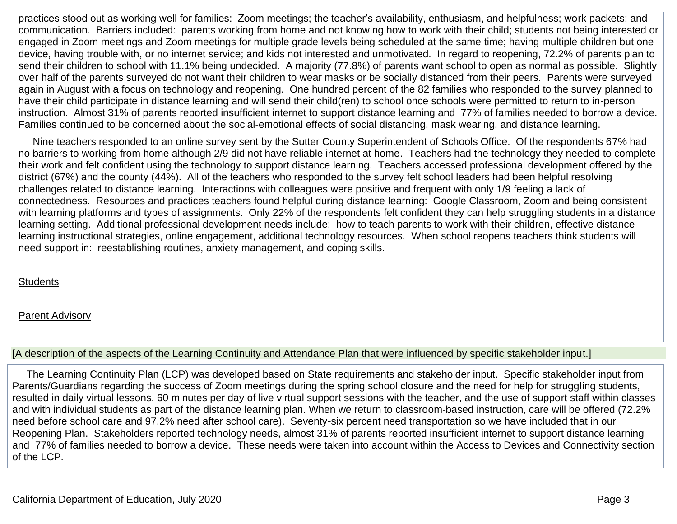practices stood out as working well for families: Zoom meetings; the teacher's availability, enthusiasm, and helpfulness; work packets; and communication. Barriers included: parents working from home and not knowing how to work with their child; students not being interested or engaged in Zoom meetings and Zoom meetings for multiple grade levels being scheduled at the same time; having multiple children but one device, having trouble with, or no internet service; and kids not interested and unmotivated. In regard to reopening, 72.2% of parents plan to send their children to school with 11.1% being undecided. A majority (77.8%) of parents want school to open as normal as possible. Slightly over half of the parents surveyed do not want their children to wear masks or be socially distanced from their peers. Parents were surveyed again in August with a focus on technology and reopening. One hundred percent of the 82 families who responded to the survey planned to have their child participate in distance learning and will send their child(ren) to school once schools were permitted to return to in-person instruction. Almost 31% of parents reported insufficient internet to support distance learning and 77% of families needed to borrow a device. Families continued to be concerned about the social-emotional effects of social distancing, mask wearing, and distance learning.

 Nine teachers responded to an online survey sent by the Sutter County Superintendent of Schools Office. Of the respondents 67% had no barriers to working from home although 2/9 did not have reliable internet at home. Teachers had the technology they needed to complete their work and felt confident using the technology to support distance learning. Teachers accessed professional development offered by the district (67%) and the county (44%). All of the teachers who responded to the survey felt school leaders had been helpful resolving challenges related to distance learning. Interactions with colleagues were positive and frequent with only 1/9 feeling a lack of connectedness. Resources and practices teachers found helpful during distance learning: Google Classroom, Zoom and being consistent with learning platforms and types of assignments. Only 22% of the respondents felt confident they can help struggling students in a distance learning setting. Additional professional development needs include: how to teach parents to work with their children, effective distance learning instructional strategies, online engagement, additional technology resources. When school reopens teachers think students will need support in: reestablishing routines, anxiety management, and coping skills.

**Students** 

Parent Advisory

[A description of the aspects of the Learning Continuity and Attendance Plan that were influenced by specific stakeholder input.]

 The Learning Continuity Plan (LCP) was developed based on State requirements and stakeholder input. Specific stakeholder input from Parents/Guardians regarding the success of Zoom meetings during the spring school closure and the need for help for struggling students, resulted in daily virtual lessons, 60 minutes per day of live virtual support sessions with the teacher, and the use of support staff within classes and with individual students as part of the distance learning plan. When we return to classroom-based instruction, care will be offered (72.2% need before school care and 97.2% need after school care). Seventy-six percent need transportation so we have included that in our Reopening Plan. Stakeholders reported technology needs, almost 31% of parents reported insufficient internet to support distance learning and 77% of families needed to borrow a device. These needs were taken into account within the Access to Devices and Connectivity section of the LCP.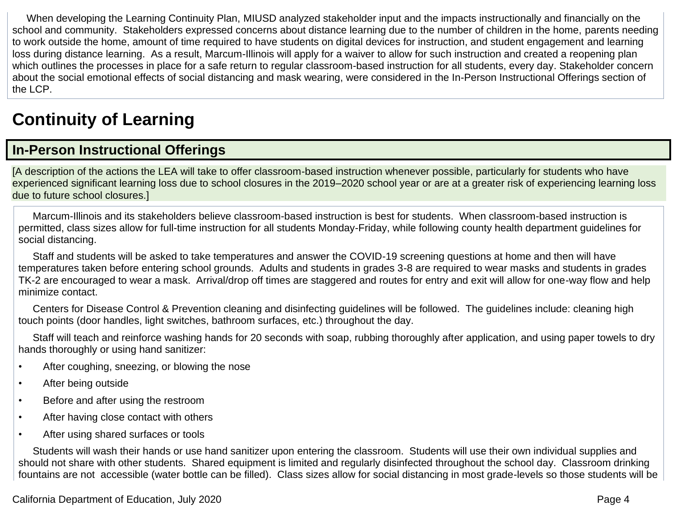When developing the Learning Continuity Plan, MIUSD analyzed stakeholder input and the impacts instructionally and financially on the school and community. Stakeholders expressed concerns about distance learning due to the number of children in the home, parents needing to work outside the home, amount of time required to have students on digital devices for instruction, and student engagement and learning loss during distance learning. As a result, Marcum-Illinois will apply for a waiver to allow for such instruction and created a reopening plan which outlines the processes in place for a safe return to regular classroom-based instruction for all students, every day. Stakeholder concern about the social emotional effects of social distancing and mask wearing, were considered in the In-Person Instructional Offerings section of the LCP.

# **Continuity of Learning**

## **In-Person Instructional Offerings**

[A description of the actions the LEA will take to offer classroom-based instruction whenever possible, particularly for students who have experienced significant learning loss due to school closures in the 2019–2020 school year or are at a greater risk of experiencing learning loss due to future school closures.]

 Marcum-Illinois and its stakeholders believe classroom-based instruction is best for students. When classroom-based instruction is permitted, class sizes allow for full-time instruction for all students Monday-Friday, while following county health department guidelines for social distancing.

 Staff and students will be asked to take temperatures and answer the COVID-19 screening questions at home and then will have temperatures taken before entering school grounds. Adults and students in grades 3-8 are required to wear masks and students in grades TK-2 are encouraged to wear a mask. Arrival/drop off times are staggered and routes for entry and exit will allow for one-way flow and help minimize contact.

 Centers for Disease Control & Prevention cleaning and disinfecting guidelines will be followed. The guidelines include: cleaning high touch points (door handles, light switches, bathroom surfaces, etc.) throughout the day.

 Staff will teach and reinforce washing hands for 20 seconds with soap, rubbing thoroughly after application, and using paper towels to dry hands thoroughly or using hand sanitizer:

- After coughing, sneezing, or blowing the nose
- After being outside
- Before and after using the restroom
- After having close contact with others
- After using shared surfaces or tools

 Students will wash their hands or use hand sanitizer upon entering the classroom. Students will use their own individual supplies and should not share with other students. Shared equipment is limited and regularly disinfected throughout the school day. Classroom drinking fountains are not accessible (water bottle can be filled). Class sizes allow for social distancing in most grade-levels so those students will be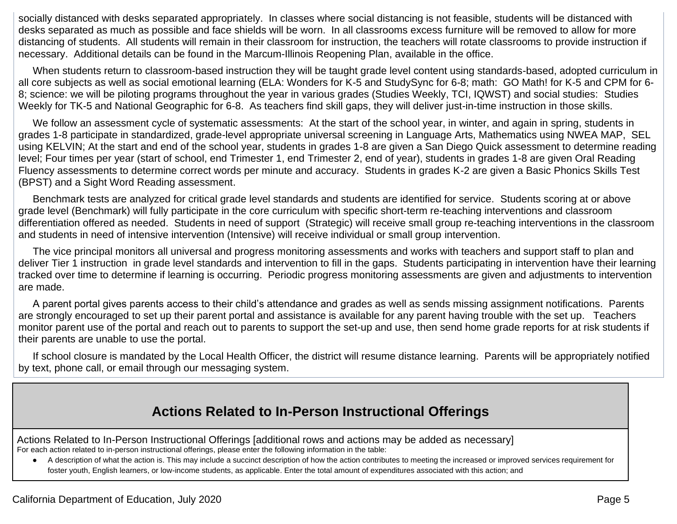socially distanced with desks separated appropriately. In classes where social distancing is not feasible, students will be distanced with desks separated as much as possible and face shields will be worn. In all classrooms excess furniture will be removed to allow for more distancing of students. All students will remain in their classroom for instruction, the teachers will rotate classrooms to provide instruction if necessary. Additional details can be found in the Marcum-Illinois Reopening Plan, available in the office.

 When students return to classroom-based instruction they will be taught grade level content using standards-based, adopted curriculum in all core subjects as well as social emotional learning (ELA: Wonders for K-5 and StudySync for 6-8; math: GO Math! for K-5 and CPM for 6- 8; science: we will be piloting programs throughout the year in various grades (Studies Weekly, TCI, IQWST) and social studies: Studies Weekly for TK-5 and National Geographic for 6-8. As teachers find skill gaps, they will deliver just-in-time instruction in those skills.

We follow an assessment cycle of systematic assessments: At the start of the school year, in winter, and again in spring, students in grades 1-8 participate in standardized, grade-level appropriate universal screening in Language Arts, Mathematics using NWEA MAP, SEL using KELVIN; At the start and end of the school year, students in grades 1-8 are given a San Diego Quick assessment to determine reading level; Four times per year (start of school, end Trimester 1, end Trimester 2, end of year), students in grades 1-8 are given Oral Reading Fluency assessments to determine correct words per minute and accuracy. Students in grades K-2 are given a Basic Phonics Skills Test (BPST) and a Sight Word Reading assessment.

 Benchmark tests are analyzed for critical grade level standards and students are identified for service. Students scoring at or above grade level (Benchmark) will fully participate in the core curriculum with specific short-term re-teaching interventions and classroom differentiation offered as needed. Students in need of support (Strategic) will receive small group re-teaching interventions in the classroom and students in need of intensive intervention (Intensive) will receive individual or small group intervention.

 The vice principal monitors all universal and progress monitoring assessments and works with teachers and support staff to plan and deliver Tier 1 instruction in grade level standards and intervention to fill in the gaps. Students participating in intervention have their learning tracked over time to determine if learning is occurring. Periodic progress monitoring assessments are given and adjustments to intervention are made.

 A parent portal gives parents access to their child's attendance and grades as well as sends missing assignment notifications. Parents are strongly encouraged to set up their parent portal and assistance is available for any parent having trouble with the set up. Teachers monitor parent use of the portal and reach out to parents to support the set-up and use, then send home grade reports for at risk students if their parents are unable to use the portal.

 If school closure is mandated by the Local Health Officer, the district will resume distance learning. Parents will be appropriately notified by text, phone call, or email through our messaging system.

## **Actions Related to In-Person Instructional Offerings**

Actions Related to In-Person Instructional Offerings [additional rows and actions may be added as necessary] For each action related to in-person instructional offerings, please enter the following information in the table:

● A description of what the action is. This may include a succinct description of how the action contributes to meeting the increased or improved services requirement for foster youth, English learners, or low-income students, as applicable. Enter the total amount of expenditures associated with this action; and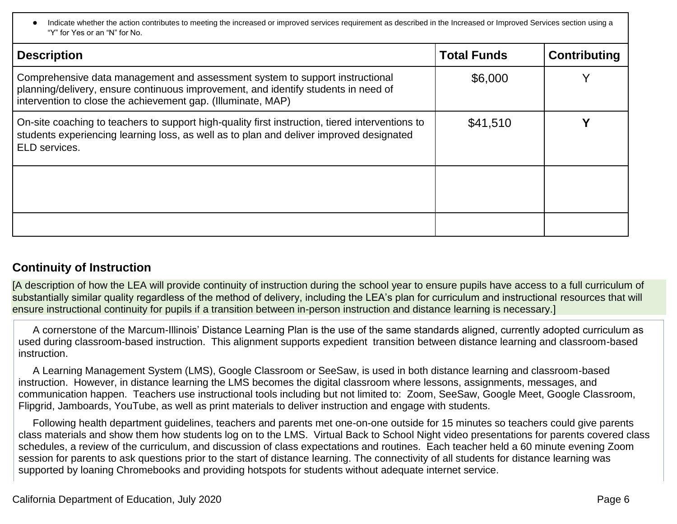Indicate whether the action contributes to meeting the increased or improved services requirement as described in the Increased or Improved Services section using a "Y" for Yes or an "N" for No.

| <b>Description</b>                                                                                                                                                                                                                 | <b>Total Funds</b> | <b>Contributing</b> |
|------------------------------------------------------------------------------------------------------------------------------------------------------------------------------------------------------------------------------------|--------------------|---------------------|
| Comprehensive data management and assessment system to support instructional<br>planning/delivery, ensure continuous improvement, and identify students in need of<br>intervention to close the achievement gap. (Illuminate, MAP) | \$6,000            |                     |
| On-site coaching to teachers to support high-quality first instruction, tiered interventions to<br>students experiencing learning loss, as well as to plan and deliver improved designated<br>ELD services.                        | \$41,510           |                     |
|                                                                                                                                                                                                                                    |                    |                     |
|                                                                                                                                                                                                                                    |                    |                     |

### **Continuity of Instruction**

[A description of how the LEA will provide continuity of instruction during the school year to ensure pupils have access to a full curriculum of substantially similar quality regardless of the method of delivery, including the LEA's plan for curriculum and instructional resources that will ensure instructional continuity for pupils if a transition between in-person instruction and distance learning is necessary.]

 A cornerstone of the Marcum-Illinois' Distance Learning Plan is the use of the same standards aligned, currently adopted curriculum as used during classroom-based instruction. This alignment supports expedient transition between distance learning and classroom-based instruction.

 A Learning Management System (LMS), Google Classroom or SeeSaw, is used in both distance learning and classroom-based instruction. However, in distance learning the LMS becomes the digital classroom where lessons, assignments, messages, and communication happen. Teachers use instructional tools including but not limited to: Zoom, SeeSaw, Google Meet, Google Classroom, Flipgrid, Jamboards, YouTube, as well as print materials to deliver instruction and engage with students.

 Following health department guidelines, teachers and parents met one-on-one outside for 15 minutes so teachers could give parents class materials and show them how students log on to the LMS. Virtual Back to School Night video presentations for parents covered class schedules, a review of the curriculum, and discussion of class expectations and routines. Each teacher held a 60 minute evening Zoom session for parents to ask questions prior to the start of distance learning. The connectivity of all students for distance learning was supported by loaning Chromebooks and providing hotspots for students without adequate internet service.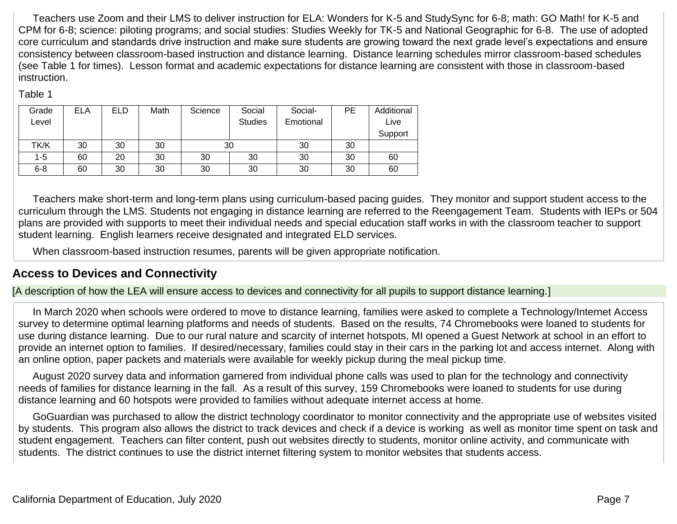Teachers use Zoom and their LMS to deliver instruction for ELA: Wonders for K-5 and StudySync for 6-8; math: GO Math! for K-5 and CPM for 6-8; science: piloting programs; and social studies: Studies Weekly for TK-5 and National Geographic for 6-8. The use of adopted core curriculum and standards drive instruction and make sure students are growing toward the next grade level's expectations and ensure consistency between classroom-based instruction and distance learning. Distance learning schedules mirror classroom-based schedules (see Table 1 for times). Lesson format and academic expectations for distance learning are consistent with those in classroom-based instruction.

Table 1

| Grade   | <b>ELA</b> | ELD | Math | Science | Social         | Social-   | PE | Additional |
|---------|------------|-----|------|---------|----------------|-----------|----|------------|
| Level   |            |     |      |         | <b>Studies</b> | Emotional |    | Live       |
|         |            |     |      |         |                |           |    | Support    |
| TK/K    | 30         | 30  | 30   | 30      |                | 30        | 30 |            |
| $1 - 5$ | 60         | 20  | 30   | 30      | 30             | 30        | 30 | 60         |
| $6 - 8$ | 60         | 30  | 30   | 30      | 30             | 30        | 30 | 60         |

 Teachers make short-term and long-term plans using curriculum-based pacing guides. They monitor and support student access to the curriculum through the LMS. Students not engaging in distance learning are referred to the Reengagement Team. Students with IEPs or 504 plans are provided with supports to meet their individual needs and special education staff works in with the classroom teacher to support student learning. English learners receive designated and integrated ELD services.

When classroom-based instruction resumes, parents will be given appropriate notification.

### **Access to Devices and Connectivity**

[A description of how the LEA will ensure access to devices and connectivity for all pupils to support distance learning.]

 In March 2020 when schools were ordered to move to distance learning, families were asked to complete a Technology/Internet Access survey to determine optimal learning platforms and needs of students. Based on the results, 74 Chromebooks were loaned to students for use during distance learning. Due to our rural nature and scarcity of internet hotspots, MI opened a Guest Network at school in an effort to provide an internet option to families. If desired/necessary, families could stay in their cars in the parking lot and access internet. Along with an online option, paper packets and materials were available for weekly pickup during the meal pickup time.

 August 2020 survey data and information garnered from individual phone calls was used to plan for the technology and connectivity needs of families for distance learning in the fall. As a result of this survey, 159 Chromebooks were loaned to students for use during distance learning and 60 hotspots were provided to families without adequate internet access at home.

 GoGuardian was purchased to allow the district technology coordinator to monitor connectivity and the appropriate use of websites visited by students. This program also allows the district to track devices and check if a device is working as well as monitor time spent on task and student engagement. Teachers can filter content, push out websites directly to students, monitor online activity, and communicate with students. The district continues to use the district internet filtering system to monitor websites that students access.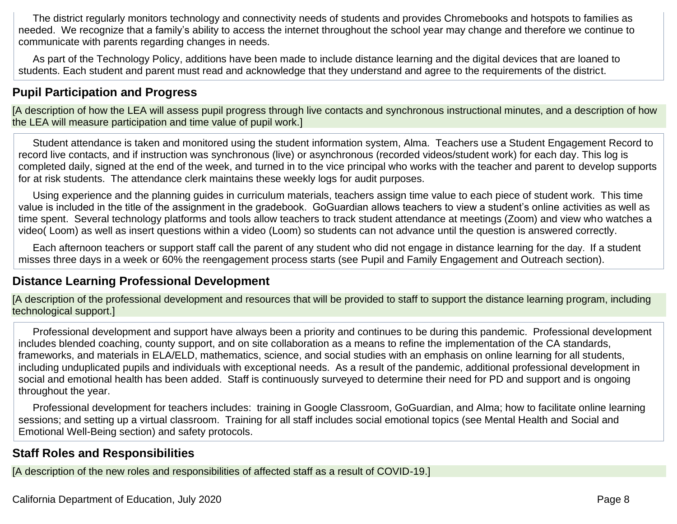The district regularly monitors technology and connectivity needs of students and provides Chromebooks and hotspots to families as needed. We recognize that a family's ability to access the internet throughout the school year may change and therefore we continue to communicate with parents regarding changes in needs.

 As part of the Technology Policy, additions have been made to include distance learning and the digital devices that are loaned to students. Each student and parent must read and acknowledge that they understand and agree to the requirements of the district.

### **Pupil Participation and Progress**

[A description of how the LEA will assess pupil progress through live contacts and synchronous instructional minutes, and a description of how the LEA will measure participation and time value of pupil work.]

 Student attendance is taken and monitored using the student information system, Alma. Teachers use a Student Engagement Record to record live contacts, and if instruction was synchronous (live) or asynchronous (recorded videos/student work) for each day. This log is completed daily, signed at the end of the week, and turned in to the vice principal who works with the teacher and parent to develop supports for at risk students. The attendance clerk maintains these weekly logs for audit purposes.

 Using experience and the planning guides in curriculum materials, teachers assign time value to each piece of student work. This time value is included in the title of the assignment in the gradebook. GoGuardian allows teachers to view a student's online activities as well as time spent. Several technology platforms and tools allow teachers to track student attendance at meetings (Zoom) and view who watches a video( Loom) as well as insert questions within a video (Loom) so students can not advance until the question is answered correctly.

 Each afternoon teachers or support staff call the parent of any student who did not engage in distance learning for the day. If a student misses three days in a week or 60% the reengagement process starts (see Pupil and Family Engagement and Outreach section).

### **Distance Learning Professional Development**

[A description of the professional development and resources that will be provided to staff to support the distance learning program, including technological support.]

 Professional development and support have always been a priority and continues to be during this pandemic. Professional development includes blended coaching, county support, and on site collaboration as a means to refine the implementation of the CA standards, frameworks, and materials in ELA/ELD, mathematics, science, and social studies with an emphasis on online learning for all students, including unduplicated pupils and individuals with exceptional needs. As a result of the pandemic, additional professional development in social and emotional health has been added. Staff is continuously surveyed to determine their need for PD and support and is ongoing throughout the year.

 Professional development for teachers includes: training in Google Classroom, GoGuardian, and Alma; how to facilitate online learning sessions; and setting up a virtual classroom. Training for all staff includes social emotional topics (see Mental Health and Social and Emotional Well-Being section) and safety protocols.

#### **Staff Roles and Responsibilities**

[A description of the new roles and responsibilities of affected staff as a result of COVID-19.]

California Department of Education, July 2020 **Page 8** Page 8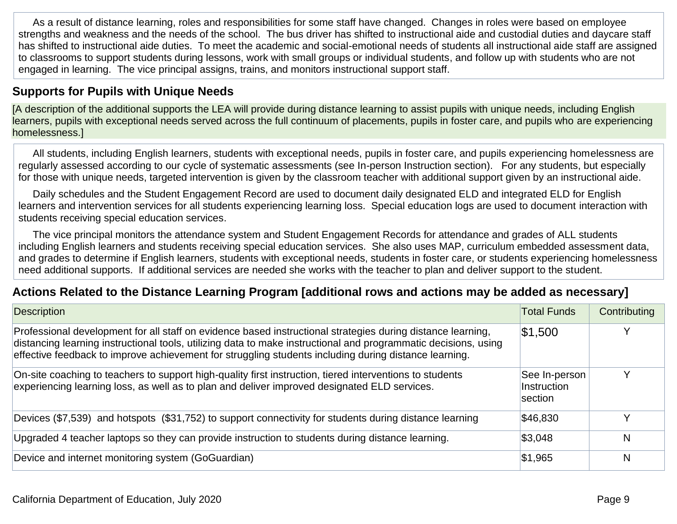As a result of distance learning, roles and responsibilities for some staff have changed. Changes in roles were based on employee strengths and weakness and the needs of the school. The bus driver has shifted to instructional aide and custodial duties and daycare staff has shifted to instructional aide duties. To meet the academic and social-emotional needs of students all instructional aide staff are assigned to classrooms to support students during lessons, work with small groups or individual students, and follow up with students who are not engaged in learning. The vice principal assigns, trains, and monitors instructional support staff.

### **Supports for Pupils with Unique Needs**

[A description of the additional supports the LEA will provide during distance learning to assist pupils with unique needs, including English learners, pupils with exceptional needs served across the full continuum of placements, pupils in foster care, and pupils who are experiencing homelessness.]

 All students, including English learners, students with exceptional needs, pupils in foster care, and pupils experiencing homelessness are regularly assessed according to our cycle of systematic assessments (see In-person Instruction section). For any students, but especially for those with unique needs, targeted intervention is given by the classroom teacher with additional support given by an instructional aide.

 Daily schedules and the Student Engagement Record are used to document daily designated ELD and integrated ELD for English learners and intervention services for all students experiencing learning loss. Special education logs are used to document interaction with students receiving special education services.

 The vice principal monitors the attendance system and Student Engagement Records for attendance and grades of ALL students including English learners and students receiving special education services. She also uses MAP, curriculum embedded assessment data, and grades to determine if English learners, students with exceptional needs, students in foster care, or students experiencing homelessness need additional supports. If additional services are needed she works with the teacher to plan and deliver support to the student.

### **Actions Related to the Distance Learning Program [additional rows and actions may be added as necessary]**

| Description                                                                                                                                                                                                                                                                                                                             | <b>Total Funds</b>                      | Contributing |
|-----------------------------------------------------------------------------------------------------------------------------------------------------------------------------------------------------------------------------------------------------------------------------------------------------------------------------------------|-----------------------------------------|--------------|
| Professional development for all staff on evidence based instructional strategies during distance learning,<br>distancing learning instructional tools, utilizing data to make instructional and programmatic decisions, using<br>effective feedback to improve achievement for struggling students including during distance learning. | $\$1,500$                               |              |
| On-site coaching to teachers to support high-quality first instruction, tiered interventions to students<br>experiencing learning loss, as well as to plan and deliver improved designated ELD services.                                                                                                                                | See In-person<br>Instruction<br>section |              |
| Devices (\$7,539) and hotspots (\$31,752) to support connectivity for students during distance learning                                                                                                                                                                                                                                 | \$46,830                                |              |
| Upgraded 4 teacher laptops so they can provide instruction to students during distance learning.                                                                                                                                                                                                                                        | \$3,048                                 | N            |
| Device and internet monitoring system (GoGuardian)                                                                                                                                                                                                                                                                                      | \$1,965                                 | N            |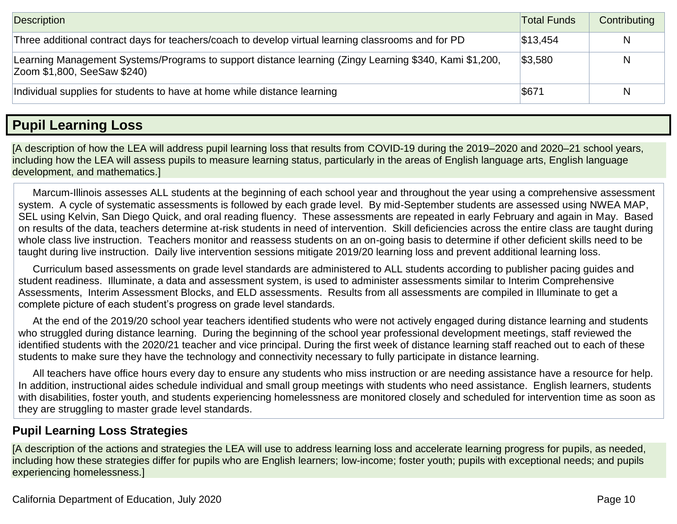| Description                                                                                                                                      | <b>Total Funds</b> | Contributing |
|--------------------------------------------------------------------------------------------------------------------------------------------------|--------------------|--------------|
| Three additional contract days for teachers/coach to develop virtual learning classrooms and for PD                                              | \$13,454           | N            |
| Learning Management Systems/Programs to support distance learning (Zingy Learning \$340, Kami \$1,200,<br>\$3,580<br>Zoom \$1,800, SeeSaw \$240) |                    | N            |
| Individual supplies for students to have at home while distance learning                                                                         | \$671              | N            |

## **Pupil Learning Loss**

[A description of how the LEA will address pupil learning loss that results from COVID-19 during the 2019–2020 and 2020–21 school years, including how the LEA will assess pupils to measure learning status, particularly in the areas of English language arts, English language development, and mathematics.]

 Marcum-Illinois assesses ALL students at the beginning of each school year and throughout the year using a comprehensive assessment system. A cycle of systematic assessments is followed by each grade level. By mid-September students are assessed using NWEA MAP, SEL using Kelvin, San Diego Quick, and oral reading fluency. These assessments are repeated in early February and again in May. Based on results of the data, teachers determine at-risk students in need of intervention. Skill deficiencies across the entire class are taught during whole class live instruction. Teachers monitor and reassess students on an on-going basis to determine if other deficient skills need to be taught during live instruction. Daily live intervention sessions mitigate 2019/20 learning loss and prevent additional learning loss.

 Curriculum based assessments on grade level standards are administered to ALL students according to publisher pacing guides and student readiness. Illuminate, a data and assessment system, is used to administer assessments similar to Interim Comprehensive Assessments, Interim Assessment Blocks, and ELD assessments. Results from all assessments are compiled in Illuminate to get a complete picture of each student's progress on grade level standards.

 At the end of the 2019/20 school year teachers identified students who were not actively engaged during distance learning and students who struggled during distance learning. During the beginning of the school year professional development meetings, staff reviewed the identified students with the 2020/21 teacher and vice principal. During the first week of distance learning staff reached out to each of these students to make sure they have the technology and connectivity necessary to fully participate in distance learning.

 All teachers have office hours every day to ensure any students who miss instruction or are needing assistance have a resource for help. In addition, instructional aides schedule individual and small group meetings with students who need assistance. English learners, students with disabilities, foster youth, and students experiencing homelessness are monitored closely and scheduled for intervention time as soon as they are struggling to master grade level standards.

### **Pupil Learning Loss Strategies**

[A description of the actions and strategies the LEA will use to address learning loss and accelerate learning progress for pupils, as needed, including how these strategies differ for pupils who are English learners; low-income; foster youth; pupils with exceptional needs; and pupils experiencing homelessness.]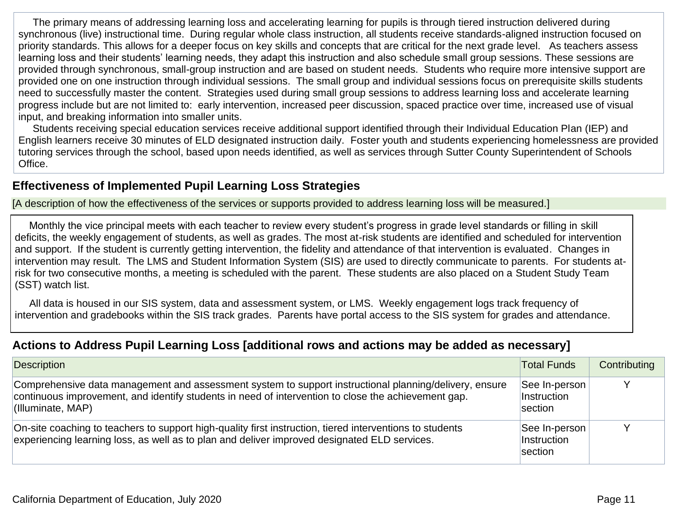The primary means of addressing learning loss and accelerating learning for pupils is through tiered instruction delivered during synchronous (live) instructional time. During regular whole class instruction, all students receive standards-aligned instruction focused on priority standards. This allows for a deeper focus on key skills and concepts that are critical for the next grade level. As teachers assess learning loss and their students' learning needs, they adapt this instruction and also schedule small group sessions. These sessions are provided through synchronous, small-group instruction and are based on student needs. Students who require more intensive support are provided one on one instruction through individual sessions. The small group and individual sessions focus on prerequisite skills students need to successfully master the content. Strategies used during small group sessions to address learning loss and accelerate learning progress include but are not limited to: early intervention, increased peer discussion, spaced practice over time, increased use of visual input, and breaking information into smaller units.

 Students receiving special education services receive additional support identified through their Individual Education Plan (IEP) and English learners receive 30 minutes of ELD designated instruction daily. Foster youth and students experiencing homelessness are provided tutoring services through the school, based upon needs identified, as well as services through Sutter County Superintendent of Schools Office.

### **Effectiveness of Implemented Pupil Learning Loss Strategies**

[A description of how the effectiveness of the services or supports provided to address learning loss will be measured.]

 Monthly the vice principal meets with each teacher to review every student's progress in grade level standards or filling in skill deficits, the weekly engagement of students, as well as grades. The most at-risk students are identified and scheduled for intervention and support. If the student is currently getting intervention, the fidelity and attendance of that intervention is evaluated. Changes in intervention may result. The LMS and Student Information System (SIS) are used to directly communicate to parents. For students atrisk for two consecutive months, a meeting is scheduled with the parent. These students are also placed on a Student Study Team (SST) watch list.

 All data is housed in our SIS system, data and assessment system, or LMS. Weekly engagement logs track frequency of intervention and gradebooks within the SIS track grades. Parents have portal access to the SIS system for grades and attendance.

### **Actions to Address Pupil Learning Loss [additional rows and actions may be added as necessary]**

| Description                                                                                                                                                                                                                            | <b>Total Funds</b>                             | Contributing |
|----------------------------------------------------------------------------------------------------------------------------------------------------------------------------------------------------------------------------------------|------------------------------------------------|--------------|
| Comprehensive data management and assessment system to support instructional planning/delivery, ensure<br>continuous improvement, and identify students in need of intervention to close the achievement gap.<br>$ $ (Illuminate, MAP) | See In-person<br>Instruction<br>section        |              |
| On-site coaching to teachers to support high-quality first instruction, tiered interventions to students<br>experiencing learning loss, as well as to plan and deliver improved designated ELD services.                               | See In-person<br><i>Instruction</i><br>section |              |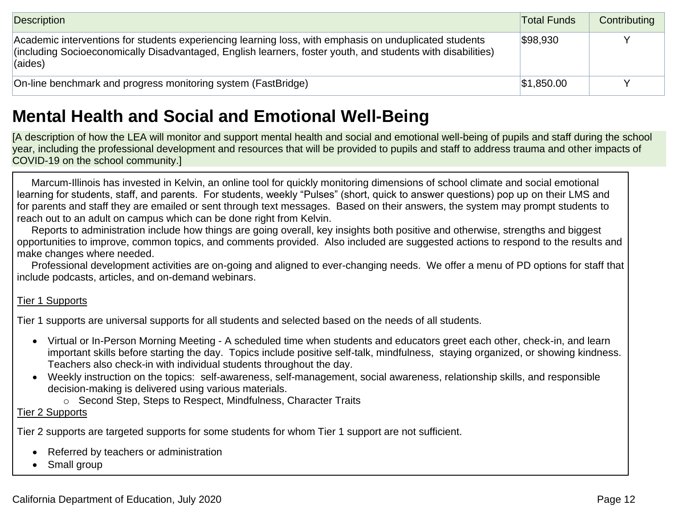| Description                                                                                                                                                                                                                       | <b>Total Funds</b> | Contributing |
|-----------------------------------------------------------------------------------------------------------------------------------------------------------------------------------------------------------------------------------|--------------------|--------------|
| Academic interventions for students experiencing learning loss, with emphasis on unduplicated students<br>(including Socioeconomically Disadvantaged, English learners, foster youth, and students with disabilities)<br> (aides) | \$98.930           |              |
| On-line benchmark and progress monitoring system (FastBridge)                                                                                                                                                                     | \$1,850.00         |              |

## **Mental Health and Social and Emotional Well-Being**

[A description of how the LEA will monitor and support mental health and social and emotional well-being of pupils and staff during the school year, including the professional development and resources that will be provided to pupils and staff to address trauma and other impacts of COVID-19 on the school community.]

 Marcum-Illinois has invested in Kelvin, an online tool for quickly monitoring dimensions of school climate and social emotional learning for students, staff, and parents. For students, weekly "Pulses" (short, quick to answer questions) pop up on their LMS and for parents and staff they are emailed or sent through text messages. Based on their answers, the system may prompt students to reach out to an adult on campus which can be done right from Kelvin.

 Reports to administration include how things are going overall, key insights both positive and otherwise, strengths and biggest opportunities to improve, common topics, and comments provided. Also included are suggested actions to respond to the results and make changes where needed.

 Professional development activities are on-going and aligned to ever-changing needs. We offer a menu of PD options for staff that include podcasts, articles, and on-demand webinars.

#### Tier 1 Supports

Tier 1 supports are universal supports for all students and selected based on the needs of all students.

- Virtual or In-Person Morning Meeting A scheduled time when students and educators greet each other, check-in, and learn important skills before starting the day. Topics include positive self-talk, mindfulness, staying organized, or showing kindness. Teachers also check-in with individual students throughout the day.
- Weekly instruction on the topics: self-awareness, self-management, social awareness, relationship skills, and responsible decision-making is delivered using various materials.
	- o Second Step, Steps to Respect, Mindfulness, Character Traits

#### Tier 2 Supports

Tier 2 supports are targeted supports for some students for whom Tier 1 support are not sufficient.

- Referred by teachers or administration
- Small group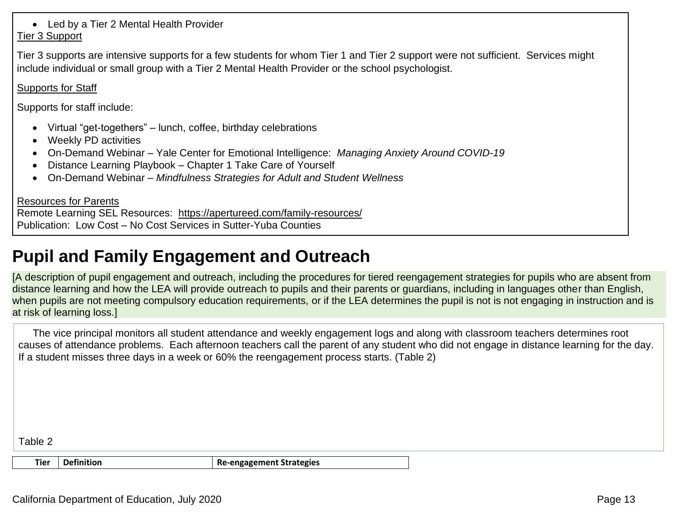### • Led by a Tier 2 Mental Health Provider

Tier 3 Support

Tier 3 supports are intensive supports for a few students for whom Tier 1 and Tier 2 support were not sufficient. Services might include individual or small group with a Tier 2 Mental Health Provider or the school psychologist.

### Supports for Staff

Supports for staff include:

- Virtual "get-togethers" lunch, coffee, birthday celebrations
- Weekly PD activities
- On-Demand Webinar Yale Center for Emotional Intelligence: *Managing Anxiety Around COVID-19*
- Distance Learning Playbook Chapter 1 Take Care of Yourself
- On-Demand Webinar *Mindfulness Strategies for Adult and Student Wellness*

Resources for Parents Remote Learning SEL Resources: <https://apertureed.com/family-resources/> Publication: Low Cost – No Cost Services in Sutter-Yuba Counties

# **Pupil and Family Engagement and Outreach**

[A description of pupil engagement and outreach, including the procedures for tiered reengagement strategies for pupils who are absent from distance learning and how the LEA will provide outreach to pupils and their parents or guardians, including in languages other than English, when pupils are not meeting compulsory education requirements, or if the LEA determines the pupil is not is not engaging in instruction and is at risk of learning loss.]

 The vice principal monitors all student attendance and weekly engagement logs and along with classroom teachers determines root causes of attendance problems. Each afternoon teachers call the parent of any student who did not engage in distance learning for the day. If a student misses three days in a week or 60% the reengagement process starts. (Table 2)

Table 2

**Tier** Definition **Re-engagement Strategies**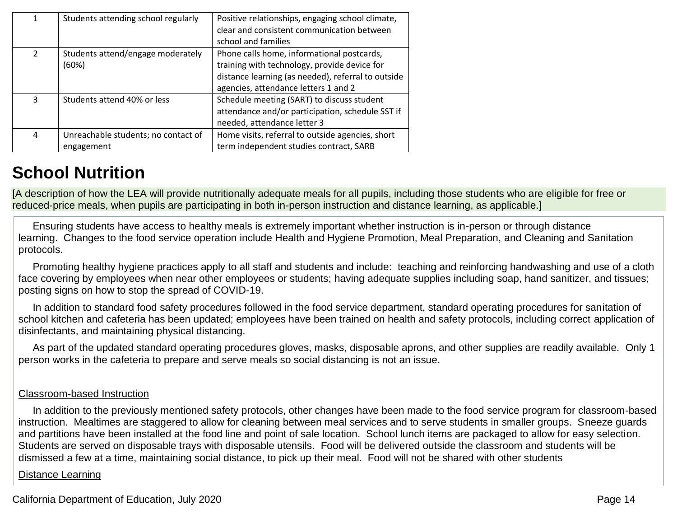| 1             | Students attending school regularly               | Positive relationships, engaging school climate,<br>clear and consistent communication between<br>school and families                                                                    |
|---------------|---------------------------------------------------|------------------------------------------------------------------------------------------------------------------------------------------------------------------------------------------|
| $\mathcal{P}$ | Students attend/engage moderately<br>(60%)        | Phone calls home, informational postcards,<br>training with technology, provide device for<br>distance learning (as needed), referral to outside<br>agencies, attendance letters 1 and 2 |
| 3             | Students attend 40% or less                       | Schedule meeting (SART) to discuss student<br>attendance and/or participation, schedule SST if<br>needed, attendance letter 3                                                            |
| 4             | Unreachable students; no contact of<br>engagement | Home visits, referral to outside agencies, short<br>term independent studies contract, SARB                                                                                              |

# **School Nutrition**

[A description of how the LEA will provide nutritionally adequate meals for all pupils, including those students who are eligible for free or reduced-price meals, when pupils are participating in both in-person instruction and distance learning, as applicable.]

 Ensuring students have access to healthy meals is extremely important whether instruction is in-person or through distance learning. Changes to the food service operation include Health and Hygiene Promotion, Meal Preparation, and Cleaning and Sanitation protocols.

 Promoting healthy hygiene practices apply to all staff and students and include: teaching and reinforcing handwashing and use of a cloth face covering by employees when near other employees or students; having adequate supplies including soap, hand sanitizer, and tissues; posting signs on how to stop the spread of COVID-19.

 In addition to standard food safety procedures followed in the food service department, standard operating procedures for sanitation of school kitchen and cafeteria has been updated; employees have been trained on health and safety protocols, including correct application of disinfectants, and maintaining physical distancing.

 As part of the updated standard operating procedures gloves, masks, disposable aprons, and other supplies are readily available. Only 1 person works in the cafeteria to prepare and serve meals so social distancing is not an issue.

#### Classroom-based Instruction

 In addition to the previously mentioned safety protocols, other changes have been made to the food service program for classroom-based instruction. Mealtimes are staggered to allow for cleaning between meal services and to serve students in smaller groups. Sneeze guards and partitions have been installed at the food line and point of sale location. School lunch items are packaged to allow for easy selection. Students are served on disposable trays with disposable utensils. Food will be delivered outside the classroom and students will be dismissed a few at a time, maintaining social distance, to pick up their meal. Food will not be shared with other students

#### Distance Learning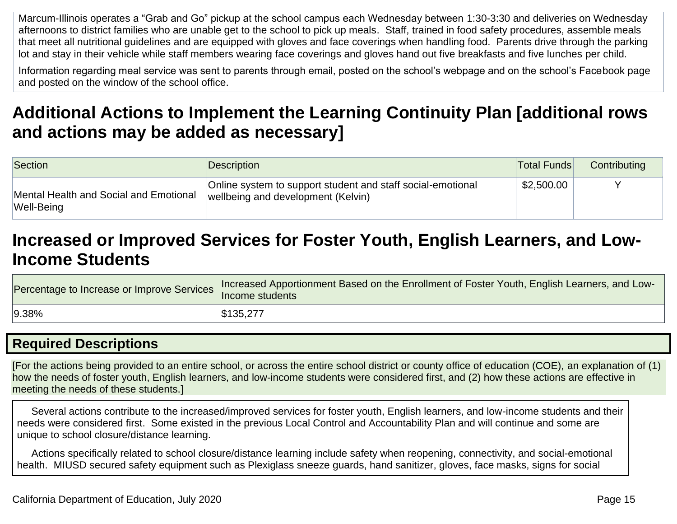Marcum-Illinois operates a "Grab and Go" pickup at the school campus each Wednesday between 1:30-3:30 and deliveries on Wednesday afternoons to district families who are unable get to the school to pick up meals. Staff, trained in food safety procedures, assemble meals that meet all nutritional guidelines and are equipped with gloves and face coverings when handling food. Parents drive through the parking lot and stay in their vehicle while staff members wearing face coverings and gloves hand out five breakfasts and five lunches per child.

Information regarding meal service was sent to parents through email, posted on the school's webpage and on the school's Facebook page and posted on the window of the school office.

## **Additional Actions to Implement the Learning Continuity Plan [additional rows and actions may be added as necessary]**

| Section                                              | <b>Description</b>                                                                                | Total Funds | Contributing |
|------------------------------------------------------|---------------------------------------------------------------------------------------------------|-------------|--------------|
| Mental Health and Social and Emotional<br>Well-Being | Online system to support student and staff social-emotional<br>wellbeing and development (Kelvin) | \$2,500.00  |              |

## **Increased or Improved Services for Foster Youth, English Learners, and Low-Income Students**

| Percentage to Increase or Improve Services   Income students | Increased Apportionment Based on the Enrollment of Foster Youth, English Learners, and Low- |
|--------------------------------------------------------------|---------------------------------------------------------------------------------------------|
| $ 9.38\%$                                                    | \$135,277                                                                                   |

## **Required Descriptions**

[For the actions being provided to an entire school, or across the entire school district or county office of education (COE), an explanation of (1) how the needs of foster youth, English learners, and low-income students were considered first, and (2) how these actions are effective in meeting the needs of these students.]

 Several actions contribute to the increased/improved services for foster youth, English learners, and low-income students and their needs were considered first. Some existed in the previous Local Control and Accountability Plan and will continue and some are unique to school closure/distance learning.

 Actions specifically related to school closure/distance learning include safety when reopening, connectivity, and social-emotional health. MIUSD secured safety equipment such as Plexiglass sneeze guards, hand sanitizer, gloves, face masks, signs for social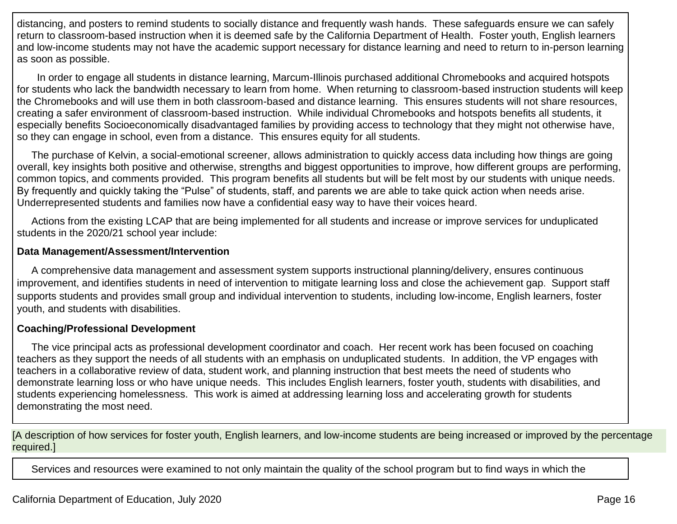distancing, and posters to remind students to socially distance and frequently wash hands. These safeguards ensure we can safely return to classroom-based instruction when it is deemed safe by the California Department of Health. Foster youth, English learners and low-income students may not have the academic support necessary for distance learning and need to return to in-person learning as soon as possible.

 In order to engage all students in distance learning, Marcum-Illinois purchased additional Chromebooks and acquired hotspots for students who lack the bandwidth necessary to learn from home. When returning to classroom-based instruction students will keep the Chromebooks and will use them in both classroom-based and distance learning. This ensures students will not share resources, creating a safer environment of classroom-based instruction. While individual Chromebooks and hotspots benefits all students, it especially benefits Socioeconomically disadvantaged families by providing access to technology that they might not otherwise have, so they can engage in school, even from a distance. This ensures equity for all students.

 The purchase of Kelvin, a social-emotional screener, allows administration to quickly access data including how things are going overall, key insights both positive and otherwise, strengths and biggest opportunities to improve, how different groups are performing, common topics, and comments provided. This program benefits all students but will be felt most by our students with unique needs. By frequently and quickly taking the "Pulse" of students, staff, and parents we are able to take quick action when needs arise. Underrepresented students and families now have a confidential easy way to have their voices heard.

 Actions from the existing LCAP that are being implemented for all students and increase or improve services for unduplicated students in the 2020/21 school year include:

#### **Data Management/Assessment/Intervention**

 A comprehensive data management and assessment system supports instructional planning/delivery, ensures continuous improvement, and identifies students in need of intervention to mitigate learning loss and close the achievement gap. Support staff supports students and provides small group and individual intervention to students, including low-income, English learners, foster youth, and students with disabilities.

#### **Coaching/Professional Development**

 The vice principal acts as professional development coordinator and coach. Her recent work has been focused on coaching teachers as they support the needs of all students with an emphasis on unduplicated students. In addition, the VP engages with teachers in a collaborative review of data, student work, and planning instruction that best meets the need of students who demonstrate learning loss or who have unique needs. This includes English learners, foster youth, students with disabilities, and students experiencing homelessness. This work is aimed at addressing learning loss and accelerating growth for students demonstrating the most need.

[A description of how services for foster youth, English learners, and low-income students are being increased or improved by the percentage required.]

Services and resources were examined to not only maintain the quality of the school program but to find ways in which the